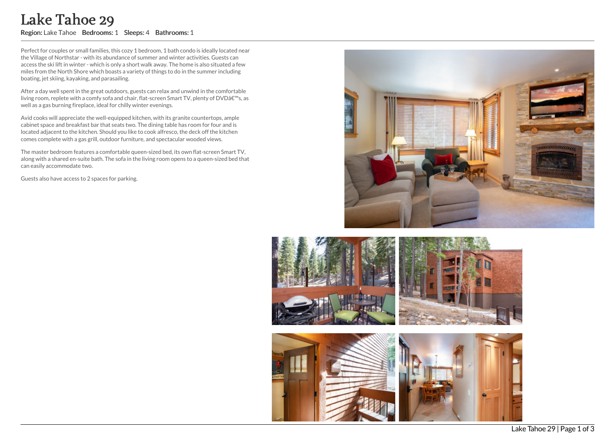## Lake Tahoe 29

## Region: Lake Tahoe Bedrooms: 1 Sleeps: 4 Bathrooms: 1

Perfect for couples or small families, this cozy 1 bedroom, 1 bath condo is ideally located near the Village of Northstar - with its abundance of summer and winter activities. Guests can access the ski lift in winter - which is only a short walk away. The home is also situated a few miles from the North Shore which boasts a variety of things to do in the summer including boating, jet skiing, kayaking, and parasailing.

After a day well spent in the great outdoors, guests can relax and unwind in the comfortable living room, replete with a comfy sofa and chair, flat-screen Smart TV, plenty of DVD's, as well as a gas burning fireplace, ideal for chilly winter evenings.

Avid cooks will appreciate the well-equipped kitchen, with its granite countertops, ample cabinet space and breakfast bar that seats two. The dining table has room for four and is located adjacent to the kitchen. Should you like to cook alfresco, the deck off the kitchen comes complete with a gas grill, outdoor furniture, and spectacular wooded views.

The master bedroom features a comfortable queen-sized bed, its own flat-screen Smart TV, along with a shared en-suite bath. The sofa in the living room opens to a queen-sized bed that can easily accommodate two.

Guests also have access to 2 spaces for parking.



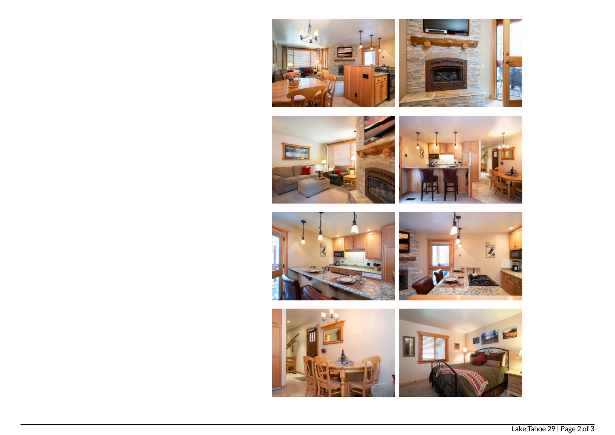